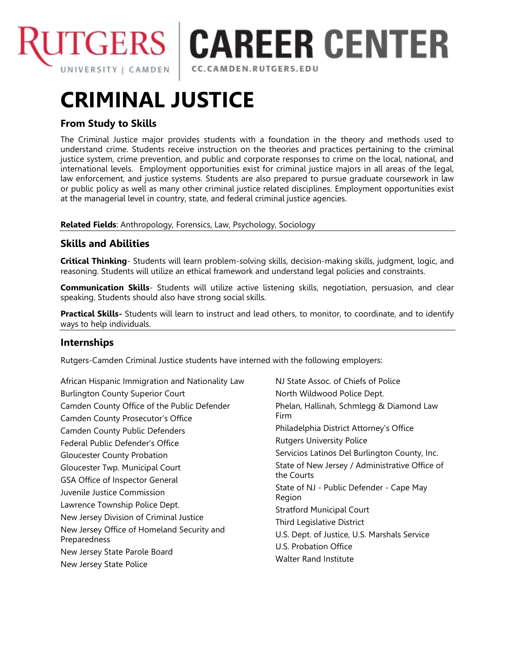

**ITGERS | CAREER CENTER** 

CC.CAMDEN.RUTGERS.EDU

# **CRIMINAL JUSTICE**

## **From Study to Skills**

The Criminal Justice major provides students with a foundation in the theory and methods used to understand crime. Students receive instruction on the theories and practices pertaining to the criminal justice system, crime prevention, and public and corporate responses to crime on the local, national, and international levels. Employment opportunities exist for criminal justice majors in all areas of the legal, law enforcement, and justice systems. Students are also prepared to pursue graduate coursework in law or public policy as well as many other criminal justice related disciplines. Employment opportunities exist at the managerial level in country, state, and federal criminal justice agencies.

**Related Fields**: Anthropology, Forensics, Law, Psychology, Sociology

## **Skills and Abilities**

**Critical Thinking**- Students will learn problem-solving skills, decision-making skills, judgment, logic, and reasoning. Students will utilize an ethical framework and understand legal policies and constraints.

**Communication Skills**- Students will utilize active listening skills, negotiation, persuasion, and clear speaking. Students should also have strong social skills.

**Practical Skills-** Students will learn to instruct and lead others, to monitor, to coordinate, and to identify ways to help individuals.

#### **Internships**

Rutgers-Camden Criminal Justice students have interned with the following employers:

African Hispanic Immigration and Nationality Law Burlington County Superior Court Camden County Office of the Public Defender Camden County Prosecutor's Office Camden County Public Defenders Federal Public Defender's Office Gloucester County Probation Gloucester Twp. Municipal Court GSA Office of Inspector General Juvenile Justice Commission Lawrence Township Police Dept. New Jersey Division of Criminal Justice New Jersey Office of Homeland Security and Preparedness New Jersey State Parole Board New Jersey State Police

NJ State Assoc. of Chiefs of Police North Wildwood Police Dept. Phelan, Hallinah, Schmlegg & Diamond Law Firm Philadelphia District Attorney's Office Rutgers University Police Servicios Latinos Del Burlington County, Inc. State of New Jersey / Administrative Office of the Courts State of NJ - Public Defender - Cape May Region Stratford Municipal Court Third Legislative District U.S. Dept. of Justice, U.S. Marshals Service U.S. Probation Office Walter Rand Institute